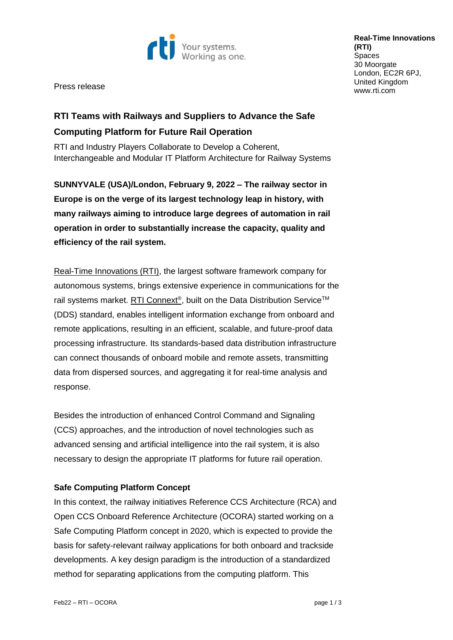

Press release

**Real-Time Innovations (RTI) Spaces** 30 Moorgate London, EC2R 6PJ, United Kingdom [www.rti.com](http://www.rti.com/)

# **RTI Teams with Railways and Suppliers to Advance the Safe Computing Platform for Future Rail Operation**

RTI and Industry Players Collaborate to Develop a Coherent, Interchangeable and Modular IT Platform Architecture for Railway Systems

**SUNNYVALE (USA)/London, February 9, 2022 – The railway sector in Europe is on the verge of its largest technology leap in history, with many railways aiming to introduce large degrees of automation in rail operation in order to substantially increase the capacity, quality and efficiency of the rail system.**

[Real-Time Innovations \(RTI\),](http://www.rti.com/) the largest software framework company for autonomous systems, brings extensive experience in communications for the rail systems market. [RTI Connext](https://www.rti.com/products)®, built on the Data Distribution Service™ (DDS) standard, enables intelligent information exchange from onboard and remote applications, resulting in an efficient, scalable, and future-proof data processing infrastructure. Its standards-based data distribution infrastructure can connect thousands of onboard mobile and remote assets, transmitting data from dispersed sources, and aggregating it for real-time analysis and response.

Besides the introduction of enhanced Control Command and Signaling (CCS) approaches, and the introduction of novel technologies such as advanced sensing and artificial intelligence into the rail system, it is also necessary to design the appropriate IT platforms for future rail operation.

## **Safe Computing Platform Concept**

In this context, the railway initiatives Reference CCS Architecture (RCA) and Open CCS Onboard Reference Architecture (OCORA) started working on a Safe Computing Platform concept in 2020, which is expected to provide the basis for safety-relevant railway applications for both onboard and trackside developments. A key design paradigm is the introduction of a standardized method for separating applications from the computing platform. This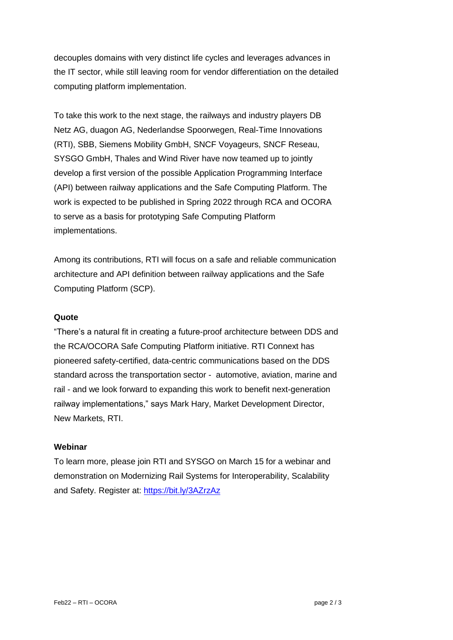decouples domains with very distinct life cycles and leverages advances in the IT sector, while still leaving room for vendor differentiation on the detailed computing platform implementation.

To take this work to the next stage, the railways and industry players DB Netz AG, duagon AG, Nederlandse Spoorwegen, Real-Time Innovations (RTI), SBB, Siemens Mobility GmbH, SNCF Voyageurs, SNCF Reseau, SYSGO GmbH, Thales and Wind River have now teamed up to jointly develop a first version of the possible Application Programming Interface (API) between railway applications and the Safe Computing Platform. The work is expected to be published in Spring 2022 through RCA and OCORA to serve as a basis for prototyping Safe Computing Platform implementations.

Among its contributions, RTI will focus on a safe and reliable communication architecture and API definition between railway applications and the Safe Computing Platform (SCP).

#### **Quote**

"There's a natural fit in creating a future-proof architecture between DDS and the RCA/OCORA Safe Computing Platform initiative. RTI Connext has pioneered safety-certified, data-centric communications based on the DDS standard across the transportation sector - automotive, aviation, marine and rail - and we look forward to expanding this work to benefit next-generation railway implementations," says Mark Hary, Market Development Director, New Markets, RTI.

#### **Webinar**

To learn more, please join RTI and SYSGO on March 15 for a webinar and demonstration on Modernizing Rail Systems for Interoperability, Scalability and Safety. Register at:<https://bit.ly/3AZrzAz>